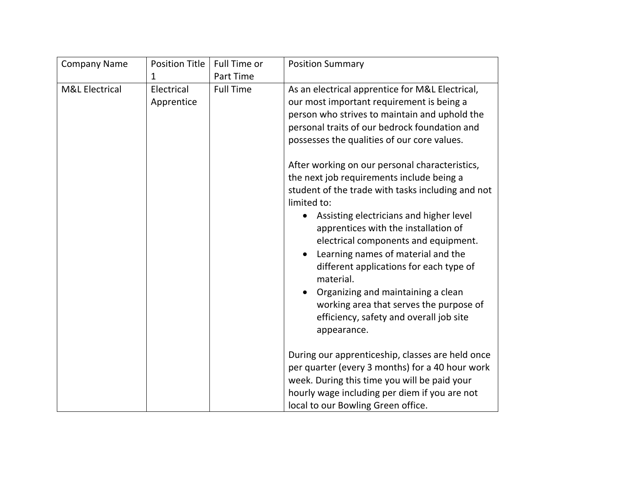| <b>Company Name</b>       | <b>Position Title</b>    | Full Time or     | <b>Position Summary</b>                                                                                                                                                                                                                                                                                                                                                                                                                                                                                                                                                                                                                                |
|---------------------------|--------------------------|------------------|--------------------------------------------------------------------------------------------------------------------------------------------------------------------------------------------------------------------------------------------------------------------------------------------------------------------------------------------------------------------------------------------------------------------------------------------------------------------------------------------------------------------------------------------------------------------------------------------------------------------------------------------------------|
|                           | 1                        | <b>Part Time</b> |                                                                                                                                                                                                                                                                                                                                                                                                                                                                                                                                                                                                                                                        |
| <b>M&amp;L Electrical</b> | Electrical<br>Apprentice | <b>Full Time</b> | As an electrical apprentice for M&L Electrical,<br>our most important requirement is being a<br>person who strives to maintain and uphold the<br>personal traits of our bedrock foundation and<br>possesses the qualities of our core values.<br>After working on our personal characteristics,<br>the next job requirements include being a<br>student of the trade with tasks including and not<br>limited to:<br>Assisting electricians and higher level<br>$\bullet$<br>apprentices with the installation of<br>electrical components and equipment.<br>Learning names of material and the<br>different applications for each type of<br>material. |
|                           |                          |                  | Organizing and maintaining a clean<br>working area that serves the purpose of<br>efficiency, safety and overall job site<br>appearance.                                                                                                                                                                                                                                                                                                                                                                                                                                                                                                                |
|                           |                          |                  | During our apprenticeship, classes are held once<br>per quarter (every 3 months) for a 40 hour work<br>week. During this time you will be paid your<br>hourly wage including per diem if you are not<br>local to our Bowling Green office.                                                                                                                                                                                                                                                                                                                                                                                                             |